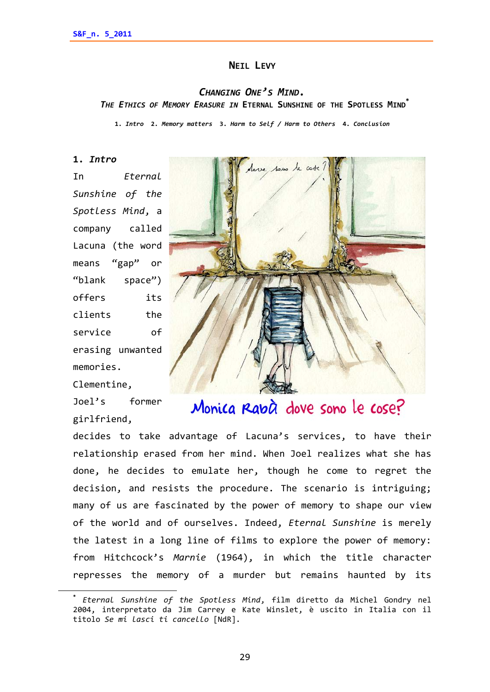### **NEIL LEVY**

## *CHANGING ONE'S MIND. THE ETHICS OF MEMORY ERASURE IN* **ETERNAL SUNSHINE OF THE SPOTLESS MIND\***

**1.** *Intro* **2.** *Memory matters* **3.** *Harm to Self / Harm to Others* **4.** *Conclusion*

### **1.** *Intro*

In *Eternal Sunshine of the Spotless Mind*, a company called Lacuna (the word means "gap" or "blank space") offers its clients the service of erasing unwanted memories.

Clementine,

Joel's former girlfriend,



# Monica Rapà dove sono le cose?

decides to take advantage of Lacuna's services, to have their relationship erased from her mind. When Joel realizes what she has done, he decides to emulate her, though he come to regret the decision, and resists the procedure. The scenario is intriguing; many of us are fascinated by the power of memory to shape our view of the world and of ourselves. Indeed, *Eternal Sunshine* is merely the latest in a long line of films to explore the power of memory: from Hitchcock's *Marnie* (1964), in which the title character represses the memory of a murder but remains haunted by its

**\*** *Eternal Sunshine of the Spotless Mind*, film diretto da Michel Gondry nel 2004, interpretato da Jim Carrey e Kate Winslet, è uscito in Italia con il titolo *Se mi lasci ti cancello* [NdR].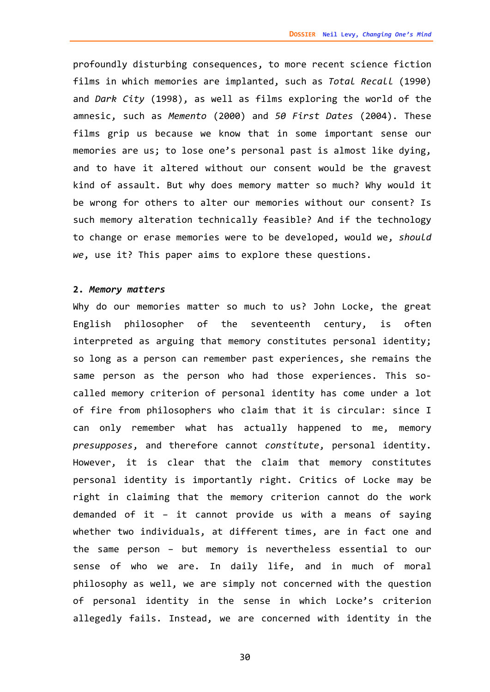profoundly disturbing consequences, to more recent science fiction films in which memories are implanted, such as *Total Recall* (1990) and *Dark City* (1998), as well as films exploring the world of the amnesic, such as *Memento* (2000) and *50 First Dates* (2004). These films grip us because we know that in some important sense our memories are us; to lose one's personal past is almost like dying, and to have it altered without our consent would be the gravest kind of assault. But why does memory matter so much? Why would it be wrong for others to alter our memories without our consent? Is such memory alteration technically feasible? And if the technology to change or erase memories were to be developed, would we, *should we*, use it? This paper aims to explore these questions.

#### **2.** *Memory matters*

Why do our memories matter so much to us? John Locke, the great English philosopher of the seventeenth century, is often interpreted as arguing that memory constitutes personal identity; so long as a person can remember past experiences, she remains the same person as the person who had those experiences. This socalled memory criterion of personal identity has come under a lot of fire from philosophers who claim that it is circular: since I can only remember what has actually happened to me, memory *presupposes*, and therefore cannot *constitute*, personal identity. However, it is clear that the claim that memory constitutes personal identity is importantly right. Critics of Locke may be right in claiming that the memory criterion cannot do the work demanded of it – it cannot provide us with a means of saying whether two individuals, at different times, are in fact one and the same person – but memory is nevertheless essential to our sense of who we are. In daily life, and in much of moral philosophy as well, we are simply not concerned with the question of personal identity in the sense in which Locke's criterion allegedly fails. Instead, we are concerned with identity in the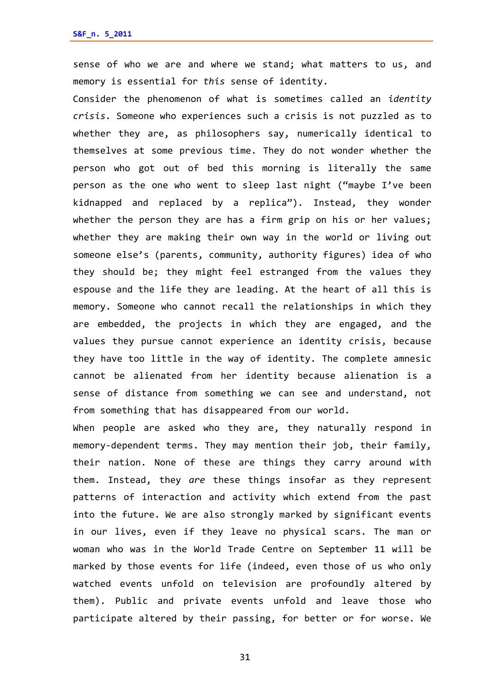sense of who we are and where we stand; what matters to us, and memory is essential for *this* sense of identity.

Consider the phenomenon of what is sometimes called an *identity crisis.* Someone who experiences such a crisis is not puzzled as to whether they are, as philosophers say, numerically identical to themselves at some previous time. They do not wonder whether the person who got out of bed this morning is literally the same person as the one who went to sleep last night ("maybe I've been kidnapped and replaced by a replica"). Instead, they wonder whether the person they are has a firm grip on his or her values; whether they are making their own way in the world or living out someone else's (parents, community, authority figures) idea of who they should be; they might feel estranged from the values they espouse and the life they are leading. At the heart of all this is memory. Someone who cannot recall the relationships in which they are embedded, the projects in which they are engaged, and the values they pursue cannot experience an identity crisis, because they have too little in the way of identity. The complete amnesic cannot be alienated from her identity because alienation is a sense of distance from something we can see and understand, not from something that has disappeared from our world.

When people are asked who they are, they naturally respond in memory-dependent terms. They may mention their job, their family, their nation. None of these are things they carry around with them. Instead, they *are* these things insofar as they represent patterns of interaction and activity which extend from the past into the future. We are also strongly marked by significant events in our lives, even if they leave no physical scars. The man or woman who was in the World Trade Centre on September 11 will be marked by those events for life (indeed, even those of us who only watched events unfold on television are profoundly altered by them). Public and private events unfold and leave those who participate altered by their passing, for better or for worse. We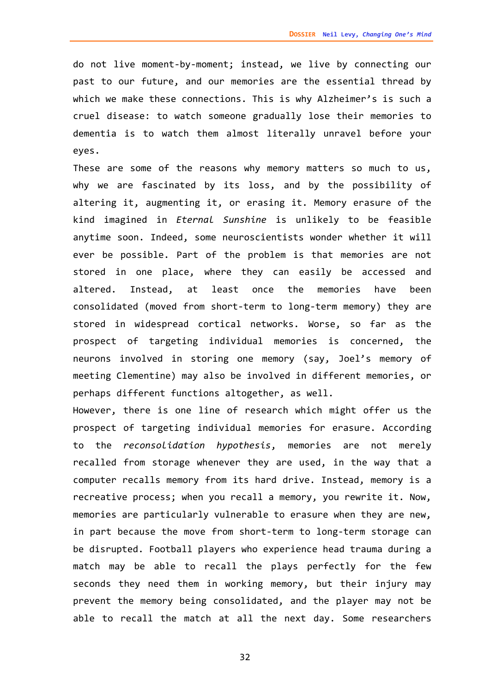do not live moment‐by‐moment; instead, we live by connecting our past to our future, and our memories are the essential thread by which we make these connections. This is why Alzheimer's is such a cruel disease: to watch someone gradually lose their memories to dementia is to watch them almost literally unravel before your eyes.

These are some of the reasons why memory matters so much to us, why we are fascinated by its loss, and by the possibility of altering it, augmenting it, or erasing it. Memory erasure of the kind imagined in *Eternal Sunshine* is unlikely to be feasible anytime soon. Indeed, some neuroscientists wonder whether it will ever be possible. Part of the problem is that memories are not stored in one place, where they can easily be accessed and altered. Instead, at least once the memories have been consolidated (moved from short‐term to long‐term memory) they are stored in widespread cortical networks. Worse, so far as the prospect of targeting individual memories is concerned, the neurons involved in storing one memory (say, Joel's memory of meeting Clementine) may also be involved in different memories, or perhaps different functions altogether, as well.

However, there is one line of research which might offer us the prospect of targeting individual memories for erasure. According to the *reconsolidation hypothesis*, memories are not merely recalled from storage whenever they are used, in the way that a computer recalls memory from its hard drive. Instead, memory is a recreative process; when you recall a memory, you rewrite it. Now, memories are particularly vulnerable to erasure when they are new, in part because the move from short-term to long-term storage can be disrupted. Football players who experience head trauma during a match may be able to recall the plays perfectly for the few seconds they need them in working memory, but their injury may prevent the memory being consolidated, and the player may not be able to recall the match at all the next day. Some researchers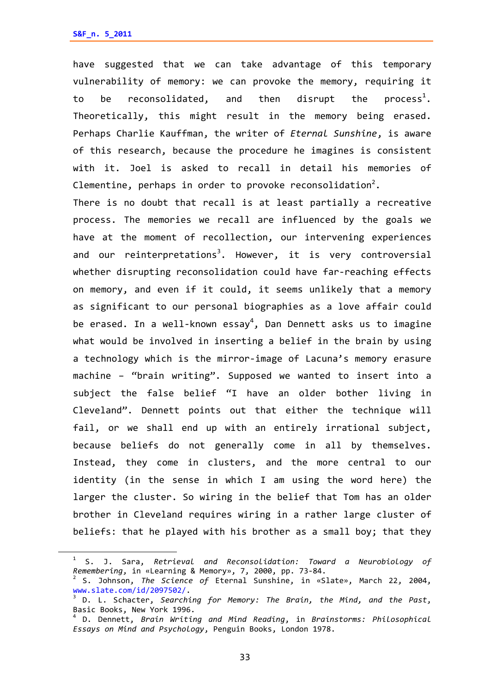have suggested that we can take advantage of this temporary vulnerability of memory: we can provoke the memory, requiring it to be reconsolidated, and then disrupt the process $^1$ . Theoretically, this might result in the memory being erased. Perhaps Charlie Kauffman, the writer of *Eternal Sunshine*, is aware of this research, because the procedure he imagines is consistent with it. Joel is asked to recall in detail his memories of Clementine, perhaps in order to provoke reconsolidation $^2.$ 

There is no doubt that recall is at least partially a recreative process. The memories we recall are influenced by the goals we have at the moment of recollection, our intervening experiences and our reinterpretations<sup>3</sup>. However, it is very controversial whether disrupting reconsolidation could have far-reaching effects on memory, and even if it could, it seems unlikely that a memory as significant to our personal biographies as a love affair could be erased. In a well-known essay $^4$ , Dan Dennett asks us to imagine what would be involved in inserting a belief in the brain by using a technology which is the mirror-image of Lacuna's memory erasure machine – "brain writing". Supposed we wanted to insert into a subject the false belief "I have an older bother living in Cleveland". Dennett points out that either the technique will fail, or we shall end up with an entirely irrational subject, because beliefs do not generally come in all by themselves. Instead, they come in clusters, and the more central to our identity (in the sense in which I am using the word here) the larger the cluster. So wiring in the belief that Tom has an older brother in Cleveland requires wiring in a rather large cluster of beliefs: that he played with his brother as a small boy; that they

<sup>1</sup> S. J. Sara, *Retrieval and Reconsolidation: Toward <sup>a</sup> Neurobiology of*

S. Johnson, The Science of Eternal Sunshine, in «Slate», March 22, 2004, www.slate.com/id/2097502/. <sup>3</sup> D. L. Schacter, *Searching for Memory: The Brain, the Mind, and the Past*,

Basic Books, New York 1996. <sup>4</sup> D. Dennett, *Brain Writing and Mind Reading*, in *Brainstorms: Philosophical*

*Essays on Mind and Psychology*, Penguin Books, London 1978.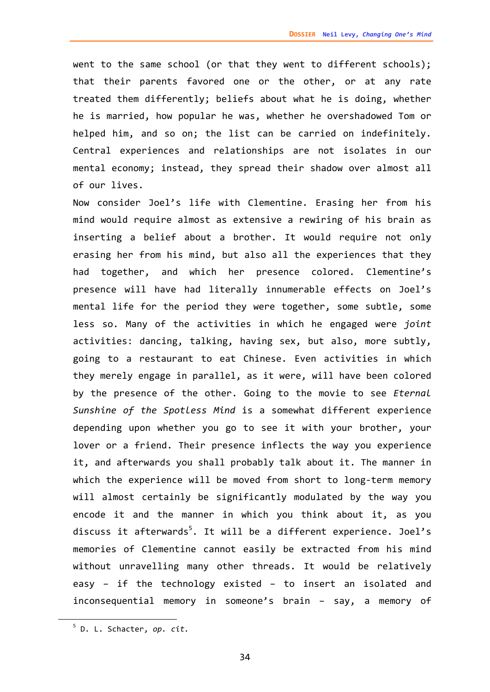went to the same school (or that they went to different schools); that their parents favored one or the other, or at any rate treated them differently; beliefs about what he is doing, whether he is married, how popular he was, whether he overshadowed Tom or helped him, and so on; the list can be carried on indefinitely. Central experiences and relationships are not isolates in our mental economy; instead, they spread their shadow over almost all of our lives.

Now consider Joel's life with Clementine. Erasing her from his mind would require almost as extensive a rewiring of his brain as inserting a belief about a brother. It would require not only erasing her from his mind, but also all the experiences that they had together, and which her presence colored. Clementine's presence will have had literally innumerable effects on Joel's mental life for the period they were together, some subtle, some less so. Many of the activities in which he engaged were *joint* activities: dancing, talking, having sex, but also, more subtly, going to a restaurant to eat Chinese. Even activities in which they merely engage in parallel, as it were, will have been colored by the presence of the other. Going to the movie to see *Eternal Sunshine of the Spotless Mind* is a somewhat different experience depending upon whether you go to see it with your brother, your lover or a friend. Their presence inflects the way you experience it, and afterwards you shall probably talk about it. The manner in which the experience will be moved from short to long-term memory will almost certainly be significantly modulated by the way you encode it and the manner in which you think about it, as you discuss it afterwards $^5$ . It will be a different experience. Joel's memories of Clementine cannot easily be extracted from his mind without unravelling many other threads. It would be relatively easy – if the technology existed – to insert an isolated and inconsequential memory in someone's brain – say, a memory of

<sup>5</sup> D. L. Schacter, *op. cit.*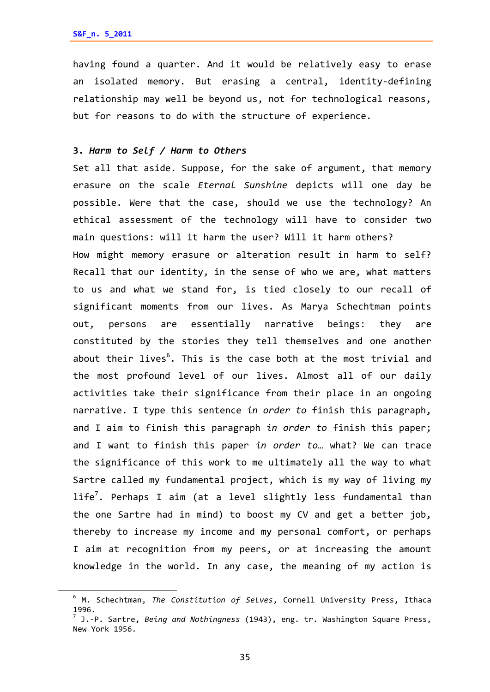having found a quarter. And it would be relatively easy to erase an isolated memory. But erasing a central, identity‐defining relationship may well be beyond us, not for technological reasons, but for reasons to do with the structure of experience.

### **3.** *Harm to Self / Harm to Others*

Set all that aside. Suppose, for the sake of argument, that memory erasure on the scale *Eternal Sunshine* depicts will one day be possible. Were that the case, should we use the technology? An ethical assessment of the technology will have to consider two main questions: will it harm the user? Will it harm others? How might memory erasure or alteration result in harm to self? Recall that our identity, in the sense of who we are, what matters to us and what we stand for, is tied closely to our recall of significant moments from our lives. As Marya Schechtman points out, persons are essentially narrative beings: they are constituted by the stories they tell themselves and one another about their lives<sup>6</sup>. This is the case both at the most trivial and the most profound level of our lives. Almost all of our daily activities take their significance from their place in an ongoing narrative. I type this sentence *in order to* finish this paragraph, and I aim to finish this paragraph *in order to* finish this paper; and I want to finish this paper *in order to*… what? We can trace the significance of this work to me ultimately all the way to what Sartre called my fundamental project, which is my way of living my life<sup>7</sup>. Perhaps I aim (at a level slightly less fundamental than the one Sartre had in mind) to boost my CV and get a better job, thereby to increase my income and my personal comfort, or perhaps I aim at recognition from my peers, or at increasing the amount knowledge in the world. In any case, the meaning of my action is

<sup>6</sup> M. Schechtman, *The Constitution of Selves*, Cornell University Press, Ithaca 1996.

<sup>7</sup> J.‐P. Sartre, *Being and Nothingness* (1943), eng. tr. Washington Square Press, New York 1956.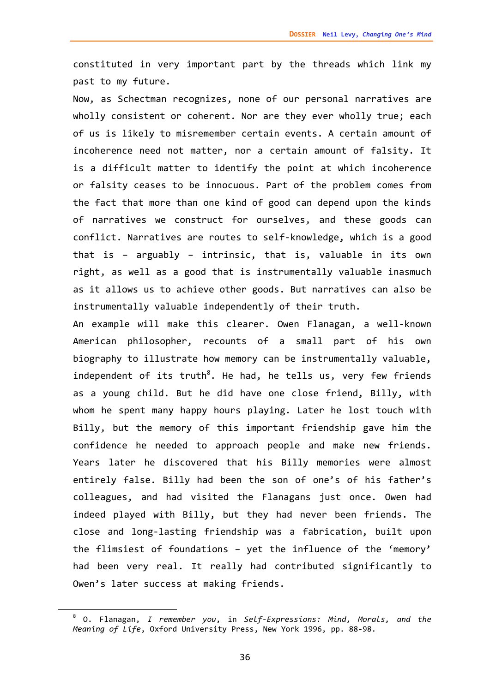constituted in very important part by the threads which link my past to my future.

Now, as Schectman recognizes, none of our personal narratives are wholly consistent or coherent. Nor are they ever wholly true; each of us is likely to misremember certain events. A certain amount of incoherence need not matter, nor a certain amount of falsity. It is a difficult matter to identify the point at which incoherence or falsity ceases to be innocuous. Part of the problem comes from the fact that more than one kind of good can depend upon the kinds of narratives we construct for ourselves, and these goods can conflict. Narratives are routes to self‐knowledge, which is a good that is – arguably – intrinsic, that is, valuable in its own right, as well as a good that is instrumentally valuable inasmuch as it allows us to achieve other goods. But narratives can also be instrumentally valuable independently of their truth.

An example will make this clearer. Owen Flanagan, a well‐known American philosopher, recounts of a small part of his own biography to illustrate how memory can be instrumentally valuable, independent of its truth $^8$ . He had, he tells us, very few friends as a young child. But he did have one close friend, Billy, with whom he spent many happy hours playing. Later he lost touch with Billy, but the memory of this important friendship gave him the confidence he needed to approach people and make new friends. Years later he discovered that his Billy memories were almost entirely false. Billy had been the son of one's of his father's colleagues, and had visited the Flanagans just once. Owen had indeed played with Billy, but they had never been friends. The close and long‐lasting friendship was a fabrication, built upon the flimsiest of foundations – yet the influence of the 'memory' had been very real. It really had contributed significantly to Owen's later success at making friends.

<sup>8</sup> O. Flanagan, *<sup>I</sup> remember you*, in *Self‐Expressions: Mind, Morals, and the Meaning of Life*, Oxford University Press, New York 1996, pp. 88‐98.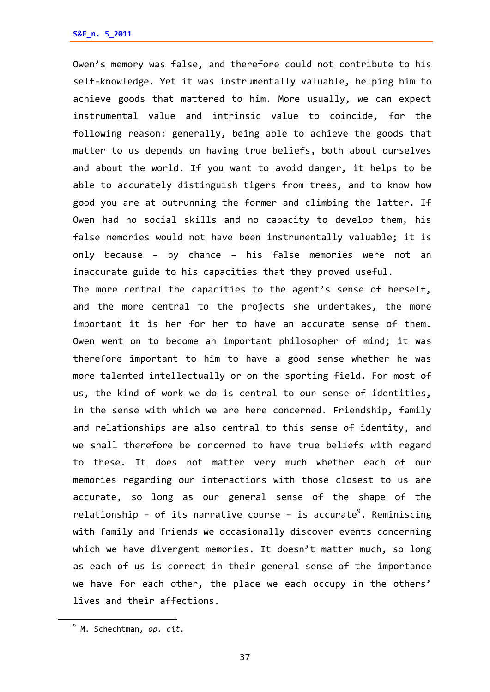Owen's memory was false, and therefore could not contribute to his self-knowledge. Yet it was instrumentally valuable, helping him to achieve goods that mattered to him. More usually, we can expect instrumental value and intrinsic value to coincide, for the following reason: generally, being able to achieve the goods that matter to us depends on having true beliefs, both about ourselves and about the world. If you want to avoid danger, it helps to be able to accurately distinguish tigers from trees, and to know how good you are at outrunning the former and climbing the latter. If Owen had no social skills and no capacity to develop them, his false memories would not have been instrumentally valuable; it is only because – by chance – his false memories were not an inaccurate guide to his capacities that they proved useful. The more central the capacities to the agent's sense of herself, and the more central to the projects she undertakes, the more important it is her for her to have an accurate sense of them. Owen went on to become an important philosopher of mind; it was therefore important to him to have a good sense whether he was more talented intellectually or on the sporting field. For most of us, the kind of work we do is central to our sense of identities, in the sense with which we are here concerned. Friendship, family and relationships are also central to this sense of identity, and

we shall therefore be concerned to have true beliefs with regard to these. It does not matter very much whether each of our memories regarding our interactions with those closest to us are accurate, so long as our general sense of the shape of the relationship – of its narrative course – is accurate<sup>9</sup>. Reminiscing with family and friends we occasionally discover events concerning which we have divergent memories. It doesn't matter much, so long as each of us is correct in their general sense of the importance we have for each other, the place we each occupy in the others' lives and their affections.

<sup>9</sup> M. Schechtman, *op. cit.*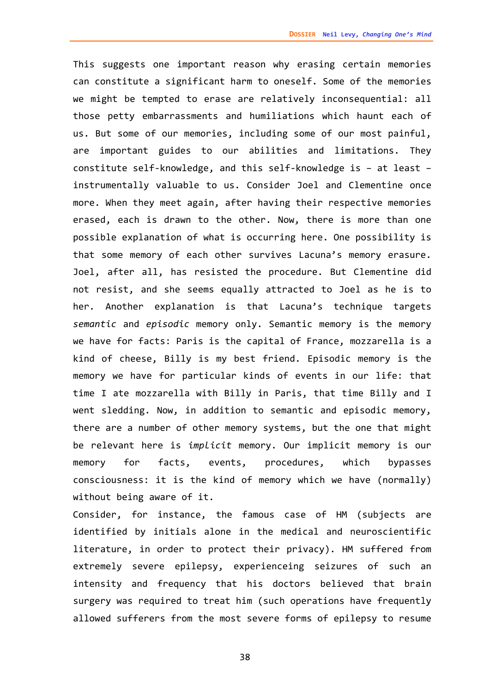This suggests one important reason why erasing certain memories can constitute a significant harm to oneself. Some of the memories we might be tempted to erase are relatively inconsequential: all those petty embarrassments and humiliations which haunt each of us. But some of our memories, including some of our most painful, are important guides to our abilities and limitations. They constitute self‐knowledge, and this self‐knowledge is – at least – instrumentally valuable to us. Consider Joel and Clementine once more. When they meet again, after having their respective memories erased, each is drawn to the other. Now, there is more than one possible explanation of what is occurring here. One possibility is that some memory of each other survives Lacuna's memory erasure. Joel, after all, has resisted the procedure. But Clementine did not resist, and she seems equally attracted to Joel as he is to her. Another explanation is that Lacuna's technique targets *semantic* and *episodic* memory only. Semantic memory is the memory we have for facts: Paris is the capital of France, mozzarella is a kind of cheese, Billy is my best friend. Episodic memory is the memory we have for particular kinds of events in our life: that time I ate mozzarella with Billy in Paris, that time Billy and I went sledding. Now, in addition to semantic and episodic memory, there are a number of other memory systems, but the one that might be relevant here is *implicit* memory. Our implicit memory is our memory for facts, events, procedures, which bypasses consciousness: it is the kind of memory which we have (normally) without being aware of it.

Consider, for instance, the famous case of HM (subjects are identified by initials alone in the medical and neuroscientific literature, in order to protect their privacy). HM suffered from extremely severe epilepsy, experienceing seizures of such an intensity and frequency that his doctors believed that brain surgery was required to treat him (such operations have frequently allowed sufferers from the most severe forms of epilepsy to resume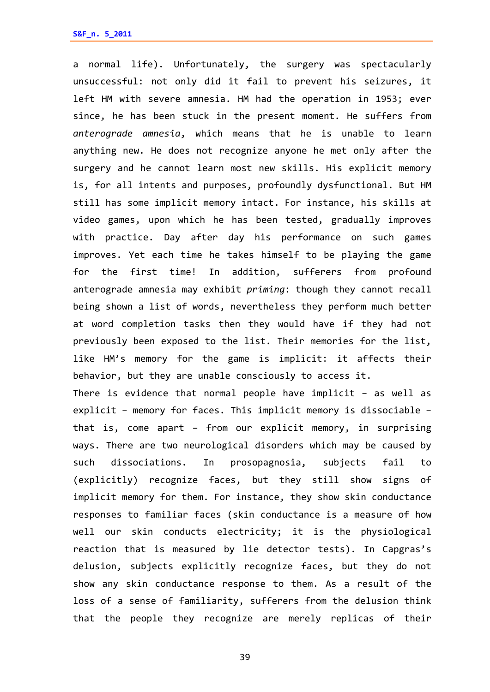a normal life). Unfortunately, the surgery was spectacularly unsuccessful: not only did it fail to prevent his seizures, it left HM with severe amnesia. HM had the operation in 1953; ever since, he has been stuck in the present moment. He suffers from *anterograde amnesia*, which means that he is unable to learn anything new. He does not recognize anyone he met only after the surgery and he cannot learn most new skills. His explicit memory is, for all intents and purposes, profoundly dysfunctional. But HM still has some implicit memory intact. For instance, his skills at video games, upon which he has been tested, gradually improves with practice. Day after day his performance on such games improves. Yet each time he takes himself to be playing the game for the first time! In addition, sufferers from profound anterograde amnesia may exhibit *priming*: though they cannot recall being shown a list of words, nevertheless they perform much better at word completion tasks then they would have if they had not previously been exposed to the list. Their memories for the list, like HM's memory for the game is implicit: it affects their behavior, but they are unable consciously to access it.

There is evidence that normal people have implicit – as well as explicit – memory for faces. This implicit memory is dissociable – that is, come apart – from our explicit memory, in surprising ways. There are two neurological disorders which may be caused by such dissociations. In prosopagnosia, subjects fail to (explicitly) recognize faces, but they still show signs of implicit memory for them. For instance, they show skin conductance responses to familiar faces (skin conductance is a measure of how well our skin conducts electricity; it is the physiological reaction that is measured by lie detector tests). In Capgras's delusion, subjects explicitly recognize faces, but they do not show any skin conductance response to them. As a result of the loss of a sense of familiarity, sufferers from the delusion think that the people they recognize are merely replicas of their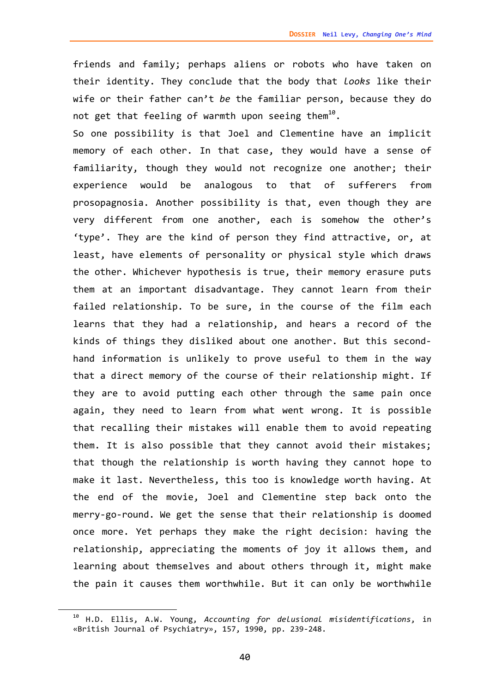friends and family; perhaps aliens or robots who have taken on their identity. They conclude that the body that *looks* like their wife or their father can't *be* the familiar person, because they do not get that feeling of warmth upon seeing them<sup>10</sup>.

So one possibility is that Joel and Clementine have an implicit memory of each other. In that case, they would have a sense of familiarity, though they would not recognize one another; their experience would be analogous to that of sufferers from prosopagnosia. Another possibility is that, even though they are very different from one another, each is somehow the other's 'type'. They are the kind of person they find attractive, or, at least, have elements of personality or physical style which draws the other. Whichever hypothesis is true, their memory erasure puts them at an important disadvantage. They cannot learn from their failed relationship. To be sure, in the course of the film each learns that they had a relationship, and hears a record of the kinds of things they disliked about one another. But this second‐ hand information is unlikely to prove useful to them in the way that a direct memory of the course of their relationship might. If they are to avoid putting each other through the same pain once again, they need to learn from what went wrong. It is possible that recalling their mistakes will enable them to avoid repeating them. It is also possible that they cannot avoid their mistakes; that though the relationship is worth having they cannot hope to make it last. Nevertheless, this too is knowledge worth having. At the end of the movie, Joel and Clementine step back onto the merry‐go‐round. We get the sense that their relationship is doomed once more. Yet perhaps they make the right decision: having the relationship, appreciating the moments of joy it allows them, and learning about themselves and about others through it, might make the pain it causes them worthwhile. But it can only be worthwhile

<sup>10</sup> H.D. Ellis, A.W. Young, *Accounting for delusional misidentifications*, in «British Journal of Psychiatry», 157, 1990, pp. 239‐248.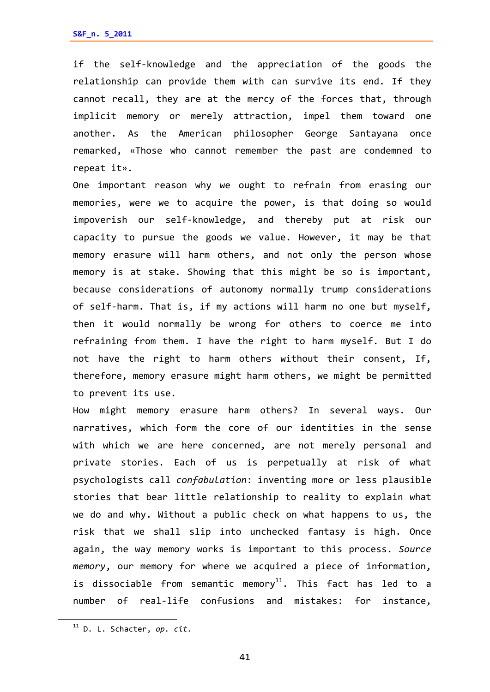if the self‐knowledge and the appreciation of the goods the relationship can provide them with can survive its end. If they cannot recall, they are at the mercy of the forces that, through implicit memory or merely attraction, impel them toward one another. As the American philosopher George Santayana once remarked, «Those who cannot remember the past are condemned to repeat it».

One important reason why we ought to refrain from erasing our memories, were we to acquire the power, is that doing so would impoverish our self‐knowledge, and thereby put at risk our capacity to pursue the goods we value. However, it may be that memory erasure will harm others, and not only the person whose memory is at stake. Showing that this might be so is important, because considerations of autonomy normally trump considerations of self‐harm. That is, if my actions will harm no one but myself, then it would normally be wrong for others to coerce me into refraining from them. I have the right to harm myself. But I do not have the right to harm others without their consent, If, therefore, memory erasure might harm others, we might be permitted to prevent its use.

How might memory erasure harm others? In several ways. Our narratives, which form the core of our identities in the sense with which we are here concerned, are not merely personal and private stories. Each of us is perpetually at risk of what psychologists call *confabulation*: inventing more or less plausible stories that bear little relationship to reality to explain what we do and why. Without a public check on what happens to us, the risk that we shall slip into unchecked fantasy is high. Once again, the way memory works is important to this process. *Source memory*, our memory for where we acquired a piece of information, is dissociable from semantic memory<sup>11</sup>. This fact has led to a number of real‐life confusions and mistakes: for instance,

<sup>11</sup> D. L. Schacter, *op. cit.*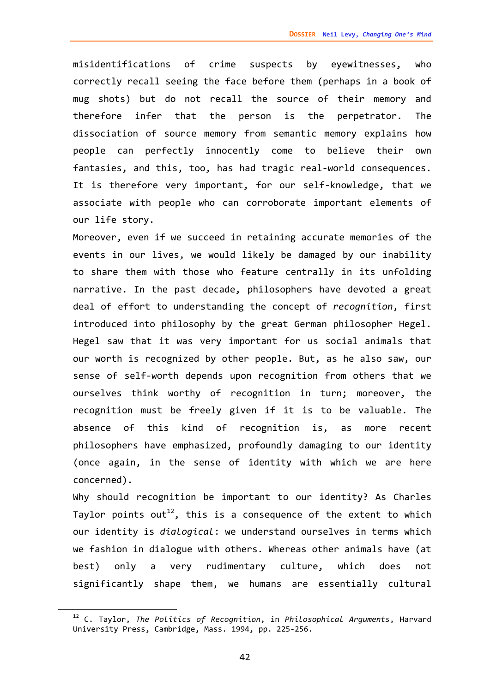misidentifications of crime suspects by eyewitnesses, who correctly recall seeing the face before them (perhaps in a book of mug shots) but do not recall the source of their memory and therefore infer that the person is the perpetrator. The dissociation of source memory from semantic memory explains how people can perfectly innocently come to believe their own fantasies, and this, too, has had tragic real‐world consequences. It is therefore very important, for our self-knowledge, that we associate with people who can corroborate important elements of our life story.

Moreover, even if we succeed in retaining accurate memories of the events in our lives, we would likely be damaged by our inability to share them with those who feature centrally in its unfolding narrative. In the past decade, philosophers have devoted a great deal of effort to understanding the concept of *recognition*, first introduced into philosophy by the great German philosopher Hegel. Hegel saw that it was very important for us social animals that our worth is recognized by other people. But, as he also saw, our sense of self‐worth depends upon recognition from others that we ourselves think worthy of recognition in turn; moreover, the recognition must be freely given if it is to be valuable. The absence of this kind of recognition is, as more recent philosophers have emphasized, profoundly damaging to our identity (once again, in the sense of identity with which we are here concerned).

Why should recognition be important to our identity? As Charles Taylor points out<sup>12</sup>, this is a consequence of the extent to which our identity is *dialogical*: we understand ourselves in terms which we fashion in dialogue with others. Whereas other animals have (at best) only a very rudimentary culture, which does not significantly shape them, we humans are essentially cultural

<sup>12</sup> C. Taylor, *The Politics of Recognition*, in *Philosophical Arguments*, Harvard University Press, Cambridge, Mass. 1994, pp. 225‐256.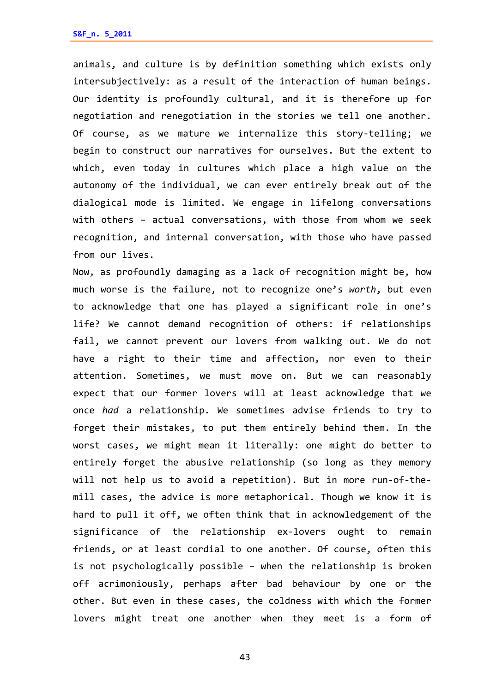animals, and culture is by definition something which exists only intersubjectively: as a result of the interaction of human beings. Our identity is profoundly cultural, and it is therefore up for negotiation and renegotiation in the stories we tell one another. Of course, as we mature we internalize this story‐telling; we begin to construct our narratives for ourselves. But the extent to which, even today in cultures which place a high value on the autonomy of the individual, we can ever entirely break out of the dialogical mode is limited. We engage in lifelong conversations with others – actual conversations, with those from whom we seek recognition, and internal conversation, with those who have passed from our lives.

Now, as profoundly damaging as a lack of recognition might be, how much worse is the failure, not to recognize one's *worth*, but even to acknowledge that one has played a significant role in one's life? We cannot demand recognition of others: if relationships fail, we cannot prevent our lovers from walking out. We do not have a right to their time and affection, nor even to their attention. Sometimes, we must move on. But we can reasonably expect that our former lovers will at least acknowledge that we once *had* a relationship. We sometimes advise friends to try to forget their mistakes, to put them entirely behind them. In the worst cases, we might mean it literally: one might do better to entirely forget the abusive relationship (so long as they memory will not help us to avoid a repetition). But in more run-of-themill cases, the advice is more metaphorical. Though we know it is hard to pull it off, we often think that in acknowledgement of the significance of the relationship ex-lovers ought to remain friends, or at least cordial to one another. Of course, often this is not psychologically possible – when the relationship is broken off acrimoniously, perhaps after bad behaviour by one or the other. But even in these cases, the coldness with which the former lovers might treat one another when they meet is a form of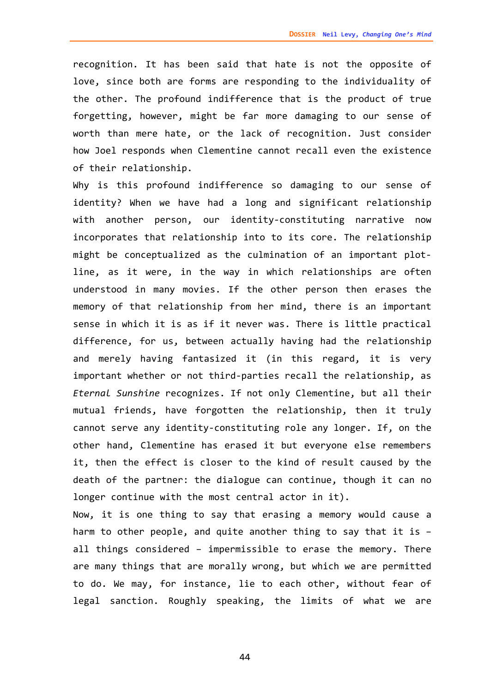recognition. It has been said that hate is not the opposite of love, since both are forms are responding to the individuality of the other. The profound indifference that is the product of true forgetting, however, might be far more damaging to our sense of worth than mere hate, or the lack of recognition. Just consider how Joel responds when Clementine cannot recall even the existence of their relationship.

Why is this profound indifference so damaging to our sense of identity? When we have had a long and significant relationship with another person, our identity-constituting narrative now incorporates that relationship into to its core. The relationship might be conceptualized as the culmination of an important plot‐ line, as it were, in the way in which relationships are often understood in many movies. If the other person then erases the memory of that relationship from her mind, there is an important sense in which it is as if it never was. There is little practical difference, for us, between actually having had the relationship and merely having fantasized it (in this regard, it is very important whether or not third‐parties recall the relationship, as *Eternal Sunshine* recognizes. If not only Clementine, but all their mutual friends, have forgotten the relationship, then it truly cannot serve any identity‐constituting role any longer. If, on the other hand, Clementine has erased it but everyone else remembers it, then the effect is closer to the kind of result caused by the death of the partner: the dialogue can continue, though it can no longer continue with the most central actor in it).

Now, it is one thing to say that erasing a memory would cause a harm to other people, and quite another thing to say that it is – all things considered – impermissible to erase the memory. There are many things that are morally wrong, but which we are permitted to do. We may, for instance, lie to each other, without fear of legal sanction. Roughly speaking, the limits of what we are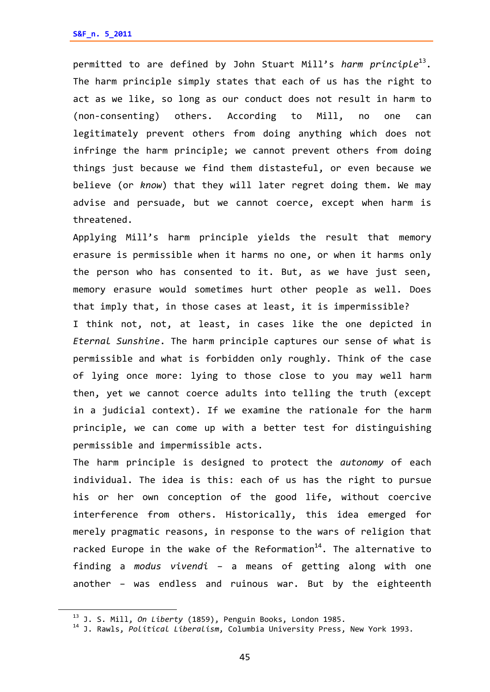permitted to are defined by John Stuart Mill's *harm principle*13. The harm principle simply states that each of us has the right to act as we like, so long as our conduct does not result in harm to (non‐consenting) others. According to Mill, no one can legitimately prevent others from doing anything which does not infringe the harm principle; we cannot prevent others from doing things just because we find them distasteful, or even because we believe (or *know*) that they will later regret doing them. We may advise and persuade, but we cannot coerce, except when harm is threatened.

Applying Mill's harm principle yields the result that memory erasure is permissible when it harms no one, or when it harms only the person who has consented to it. But, as we have just seen, memory erasure would sometimes hurt other people as well. Does that imply that, in those cases at least, it is impermissible?

I think not, not, at least, in cases like the one depicted in *Eternal Sunshine*. The harm principle captures our sense of what is permissible and what is forbidden only roughly. Think of the case of lying once more: lying to those close to you may well harm then, yet we cannot coerce adults into telling the truth (except in a judicial context). If we examine the rationale for the harm principle, we can come up with a better test for distinguishing permissible and impermissible acts.

The harm principle is designed to protect the *autonomy* of each individual. The idea is this: each of us has the right to pursue his or her own conception of the good life, without coercive interference from others. Historically, this idea emerged for merely pragmatic reasons, in response to the wars of religion that racked Europe in the wake of the Reformation<sup>14</sup>. The alternative to finding a *modus vivendi* – a means of getting along with one another – was endless and ruinous war. But by the eighteenth

<sup>&</sup>lt;sup>13</sup> J. S. Mill, *On Liberty* (1859), Penguin Books, London 1985.<br><sup>14</sup> J. Rawls, *Political Liberalism*, Columbia University Press, New York 1993.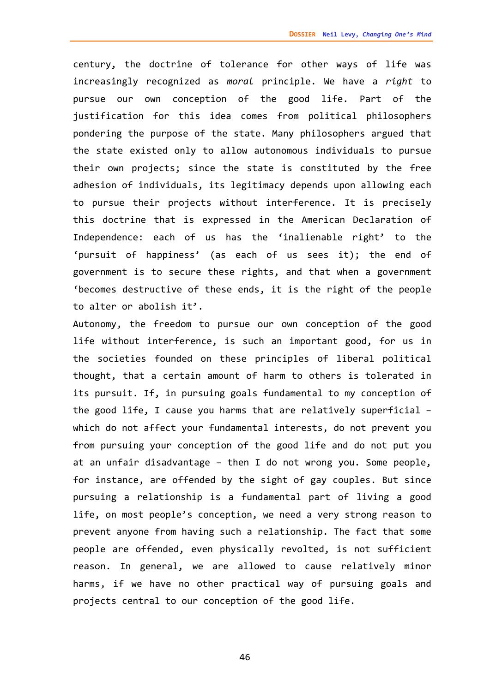century, the doctrine of tolerance for other ways of life was increasingly recognized as *moral* principle. We have a *right* to pursue our own conception of the good life. Part of the justification for this idea comes from political philosophers pondering the purpose of the state. Many philosophers argued that the state existed only to allow autonomous individuals to pursue their own projects; since the state is constituted by the free adhesion of individuals, its legitimacy depends upon allowing each to pursue their projects without interference. It is precisely this doctrine that is expressed in the American Declaration of Independence: each of us has the 'inalienable right' to the 'pursuit of happiness' (as each of us sees it); the end of government is to secure these rights, and that when a government 'becomes destructive of these ends, it is the right of the people to alter or abolish it'.

Autonomy, the freedom to pursue our own conception of the good life without interference, is such an important good, for us in the societies founded on these principles of liberal political thought, that a certain amount of harm to others is tolerated in its pursuit. If, in pursuing goals fundamental to my conception of the good life, I cause you harms that are relatively superficial – which do not affect your fundamental interests, do not prevent you from pursuing your conception of the good life and do not put you at an unfair disadvantage – then I do not wrong you. Some people, for instance, are offended by the sight of gay couples. But since pursuing a relationship is a fundamental part of living a good life, on most people's conception, we need a very strong reason to prevent anyone from having such a relationship. The fact that some people are offended, even physically revolted, is not sufficient reason. In general, we are allowed to cause relatively minor harms, if we have no other practical way of pursuing goals and projects central to our conception of the good life.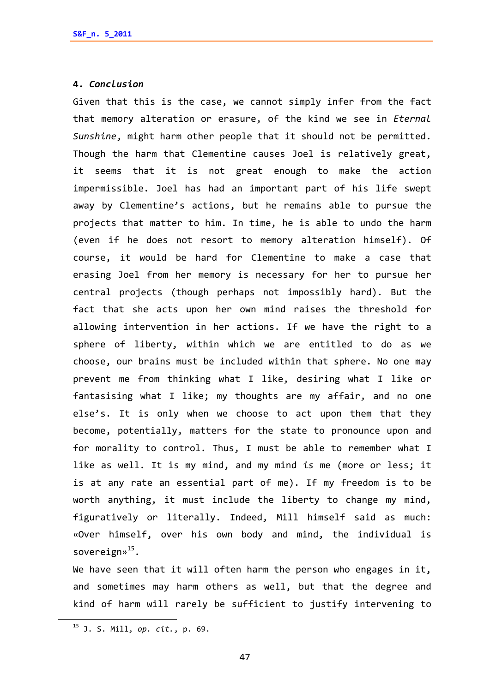### **4.** *Conclusion*

Given that this is the case, we cannot simply infer from the fact that memory alteration or erasure, of the kind we see in *Eternal Sunshine*, might harm other people that it should not be permitted. Though the harm that Clementine causes Joel is relatively great, it seems that it is not great enough to make the action impermissible. Joel has had an important part of his life swept away by Clementine's actions, but he remains able to pursue the projects that matter to him. In time, he is able to undo the harm (even if he does not resort to memory alteration himself). Of course, it would be hard for Clementine to make a case that erasing Joel from her memory is necessary for her to pursue her central projects (though perhaps not impossibly hard). But the fact that she acts upon her own mind raises the threshold for allowing intervention in her actions. If we have the right to a sphere of liberty, within which we are entitled to do as we choose, our brains must be included within that sphere. No one may prevent me from thinking what I like, desiring what I like or fantasising what I like; my thoughts are my affair, and no one else's. It is only when we choose to act upon them that they become, potentially, matters for the state to pronounce upon and for morality to control. Thus, I must be able to remember what I like as well. It is my mind, and my mind *is* me (more or less; it is at any rate an essential part of me). If my freedom is to be worth anything, it must include the liberty to change my mind, figuratively or literally. Indeed, Mill himself said as much: «Over himself, over his own body and mind, the individual is sovereign»<sup>15</sup>.

We have seen that it will often harm the person who engages in it, and sometimes may harm others as well, but that the degree and kind of harm will rarely be sufficient to justify intervening to

<sup>15</sup> J. S. Mill, *op. cit.*, p. 69.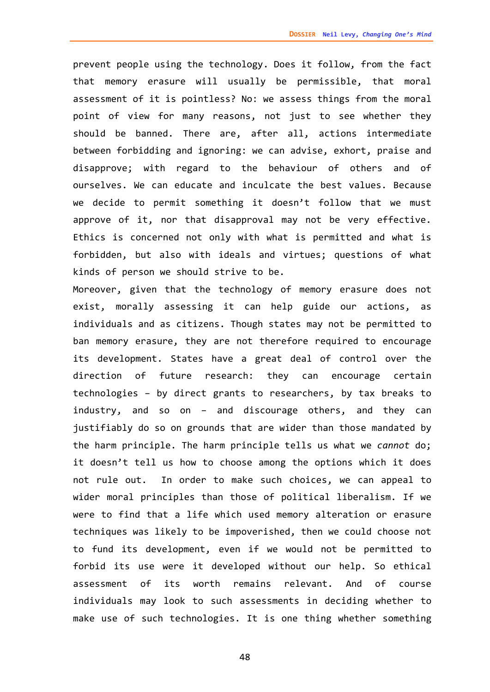prevent people using the technology. Does it follow, from the fact that memory erasure will usually be permissible, that moral assessment of it is pointless? No: we assess things from the moral point of view for many reasons, not just to see whether they should be banned. There are, after all, actions intermediate between forbidding and ignoring: we can advise, exhort, praise and disapprove; with regard to the behaviour of others and of ourselves. We can educate and inculcate the best values. Because we decide to permit something it doesn't follow that we must approve of it, nor that disapproval may not be very effective. Ethics is concerned not only with what is permitted and what is forbidden, but also with ideals and virtues; questions of what kinds of person we should strive to be.

Moreover, given that the technology of memory erasure does not exist, morally assessing it can help guide our actions, as individuals and as citizens. Though states may not be permitted to ban memory erasure, they are not therefore required to encourage its development. States have a great deal of control over the direction of future research: they can encourage certain technologies – by direct grants to researchers, by tax breaks to industry, and so on – and discourage others, and they can justifiably do so on grounds that are wider than those mandated by the harm principle. The harm principle tells us what we *cannot* do; it doesn't tell us how to choose among the options which it does not rule out. In order to make such choices, we can appeal to wider moral principles than those of political liberalism. If we were to find that a life which used memory alteration or erasure techniques was likely to be impoverished, then we could choose not to fund its development, even if we would not be permitted to forbid its use were it developed without our help. So ethical assessment of its worth remains relevant. And of course individuals may look to such assessments in deciding whether to make use of such technologies. It is one thing whether something